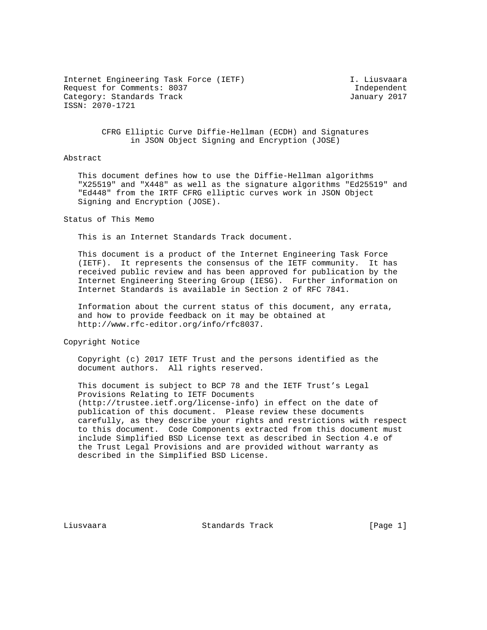Internet Engineering Task Force (IETF) I. Liusvaara Request for Comments: 8037 and the comments of the comments of the control of the control of the control of the control of the control of the control of the control of the control of the control of the control of the contr Category: Standards Track January 2017 ISSN: 2070-1721

 CFRG Elliptic Curve Diffie-Hellman (ECDH) and Signatures in JSON Object Signing and Encryption (JOSE)

### Abstract

 This document defines how to use the Diffie-Hellman algorithms "X25519" and "X448" as well as the signature algorithms "Ed25519" and "Ed448" from the IRTF CFRG elliptic curves work in JSON Object Signing and Encryption (JOSE).

Status of This Memo

This is an Internet Standards Track document.

 This document is a product of the Internet Engineering Task Force (IETF). It represents the consensus of the IETF community. It has received public review and has been approved for publication by the Internet Engineering Steering Group (IESG). Further information on Internet Standards is available in Section 2 of RFC 7841.

 Information about the current status of this document, any errata, and how to provide feedback on it may be obtained at http://www.rfc-editor.org/info/rfc8037.

Copyright Notice

 Copyright (c) 2017 IETF Trust and the persons identified as the document authors. All rights reserved.

 This document is subject to BCP 78 and the IETF Trust's Legal Provisions Relating to IETF Documents (http://trustee.ietf.org/license-info) in effect on the date of publication of this document. Please review these documents carefully, as they describe your rights and restrictions with respect to this document. Code Components extracted from this document must include Simplified BSD License text as described in Section 4.e of the Trust Legal Provisions and are provided without warranty as described in the Simplified BSD License.

Liusvaara Standards Track [Page 1]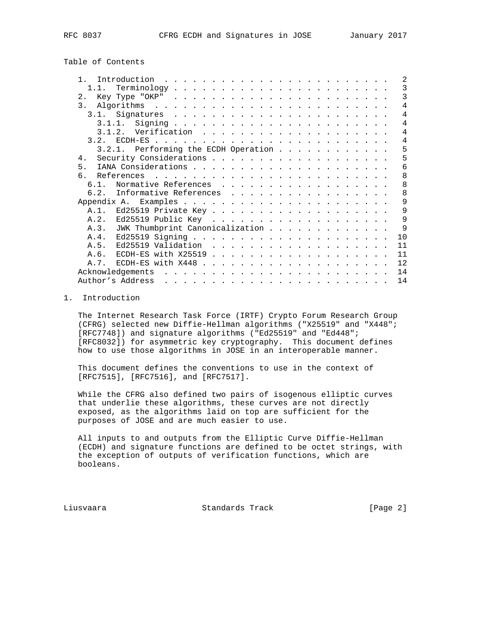Table of Contents

| $\mathbf{1}$     | Introduction                                                                                                                                                                                                                                      | $\mathfrak{D}$ |
|------------------|---------------------------------------------------------------------------------------------------------------------------------------------------------------------------------------------------------------------------------------------------|----------------|
| 1.1.             |                                                                                                                                                                                                                                                   | 3              |
| 2.               |                                                                                                                                                                                                                                                   | $\mathcal{R}$  |
| $\overline{3}$ . |                                                                                                                                                                                                                                                   | $\overline{4}$ |
|                  |                                                                                                                                                                                                                                                   | 4              |
|                  |                                                                                                                                                                                                                                                   | 4              |
|                  |                                                                                                                                                                                                                                                   | $\overline{4}$ |
|                  |                                                                                                                                                                                                                                                   | $\overline{4}$ |
|                  | 3.2.1. Performing the ECDH Operation                                                                                                                                                                                                              | 5              |
| $4$ .            |                                                                                                                                                                                                                                                   | 5              |
| 5 <sub>1</sub>   |                                                                                                                                                                                                                                                   | 6              |
| 6                |                                                                                                                                                                                                                                                   | 8              |
| $6.1$ .          | Normative References                                                                                                                                                                                                                              | 8              |
| 6.2.             | Informative References                                                                                                                                                                                                                            | 8              |
|                  |                                                                                                                                                                                                                                                   | 9              |
|                  |                                                                                                                                                                                                                                                   | 9              |
| A.2.             |                                                                                                                                                                                                                                                   | 9              |
|                  | A.3. JWK Thumbprint Canonicalization                                                                                                                                                                                                              | 9              |
| A.4.             |                                                                                                                                                                                                                                                   | 10             |
| A.5.             |                                                                                                                                                                                                                                                   | 11             |
| A.6.             |                                                                                                                                                                                                                                                   | 11             |
| A. 7.            | ECDH-ES with $X448$                                                                                                                                                                                                                               | 12             |
|                  | Acknowledgements<br>. The contract of the contract of the contract of the contract of the contract of the contract of the contract of the contract of the contract of the contract of the contract of the contract of the contract of the contrac | 14             |
|                  | Author's Address                                                                                                                                                                                                                                  | 14             |

## 1. Introduction

 The Internet Research Task Force (IRTF) Crypto Forum Research Group (CFRG) selected new Diffie-Hellman algorithms ("X25519" and "X448"; [RFC7748]) and signature algorithms ("Ed25519" and "Ed448"; [RFC8032]) for asymmetric key cryptography. This document defines how to use those algorithms in JOSE in an interoperable manner.

 This document defines the conventions to use in the context of [RFC7515], [RFC7516], and [RFC7517].

 While the CFRG also defined two pairs of isogenous elliptic curves that underlie these algorithms, these curves are not directly exposed, as the algorithms laid on top are sufficient for the purposes of JOSE and are much easier to use.

 All inputs to and outputs from the Elliptic Curve Diffie-Hellman (ECDH) and signature functions are defined to be octet strings, with the exception of outputs of verification functions, which are booleans.

Liusvaara Standards Track [Page 2]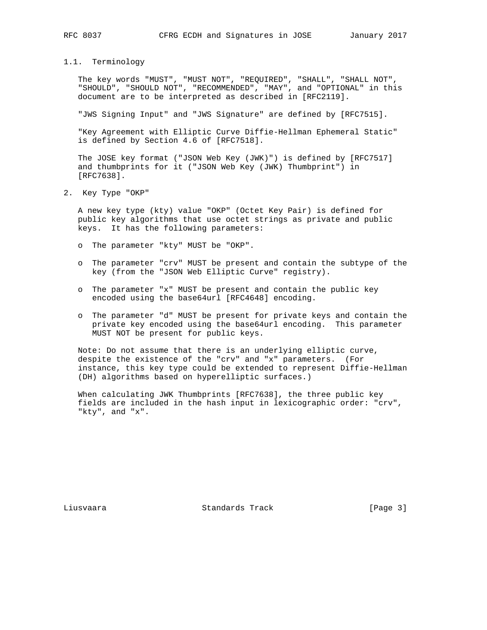## 1.1. Terminology

 The key words "MUST", "MUST NOT", "REQUIRED", "SHALL", "SHALL NOT", "SHOULD", "SHOULD NOT", "RECOMMENDED", "MAY", and "OPTIONAL" in this document are to be interpreted as described in [RFC2119].

"JWS Signing Input" and "JWS Signature" are defined by [RFC7515].

 "Key Agreement with Elliptic Curve Diffie-Hellman Ephemeral Static" is defined by Section 4.6 of [RFC7518].

 The JOSE key format ("JSON Web Key (JWK)") is defined by [RFC7517] and thumbprints for it ("JSON Web Key (JWK) Thumbprint") in [RFC7638].

2. Key Type "OKP"

 A new key type (kty) value "OKP" (Octet Key Pair) is defined for public key algorithms that use octet strings as private and public keys. It has the following parameters:

- o The parameter "kty" MUST be "OKP".
- o The parameter "crv" MUST be present and contain the subtype of the key (from the "JSON Web Elliptic Curve" registry).
- o The parameter "x" MUST be present and contain the public key encoded using the base64url [RFC4648] encoding.
- o The parameter "d" MUST be present for private keys and contain the private key encoded using the base64url encoding. This parameter MUST NOT be present for public keys.

 Note: Do not assume that there is an underlying elliptic curve, despite the existence of the "crv" and "x" parameters. (For instance, this key type could be extended to represent Diffie-Hellman (DH) algorithms based on hyperelliptic surfaces.)

 When calculating JWK Thumbprints [RFC7638], the three public key fields are included in the hash input in lexicographic order: "crv", "kty", and "x".

Liusvaara Standards Track [Page 3]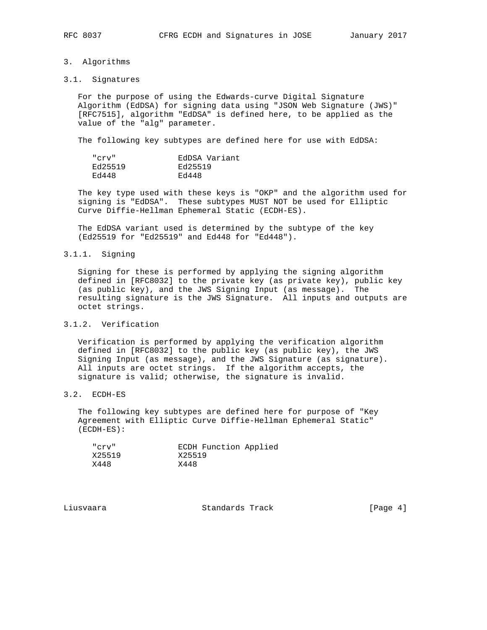### 3. Algorithms

#### 3.1. Signatures

 For the purpose of using the Edwards-curve Digital Signature Algorithm (EdDSA) for signing data using "JSON Web Signature (JWS)" [RFC7515], algorithm "EdDSA" is defined here, to be applied as the value of the "alg" parameter.

The following key subtypes are defined here for use with EdDSA:

| "cry"   | EdDSA Variant |
|---------|---------------|
| Ed25519 | Ed25519       |
| Ed448   | Ed448         |

 The key type used with these keys is "OKP" and the algorithm used for signing is "EdDSA". These subtypes MUST NOT be used for Elliptic Curve Diffie-Hellman Ephemeral Static (ECDH-ES).

 The EdDSA variant used is determined by the subtype of the key (Ed25519 for "Ed25519" and Ed448 for "Ed448").

### 3.1.1. Signing

 Signing for these is performed by applying the signing algorithm defined in [RFC8032] to the private key (as private key), public key (as public key), and the JWS Signing Input (as message). The resulting signature is the JWS Signature. All inputs and outputs are octet strings.

# 3.1.2. Verification

 Verification is performed by applying the verification algorithm defined in [RFC8032] to the public key (as public key), the JWS Signing Input (as message), and the JWS Signature (as signature). All inputs are octet strings. If the algorithm accepts, the signature is valid; otherwise, the signature is invalid.

# 3.2. ECDH-ES

 The following key subtypes are defined here for purpose of "Key Agreement with Elliptic Curve Diffie-Hellman Ephemeral Static" (ECDH-ES):

| "cry"  | ECDH Function Applied |
|--------|-----------------------|
| X25519 | X25519                |
| X448   | X448                  |

Liusvaara Standards Track [Page 4]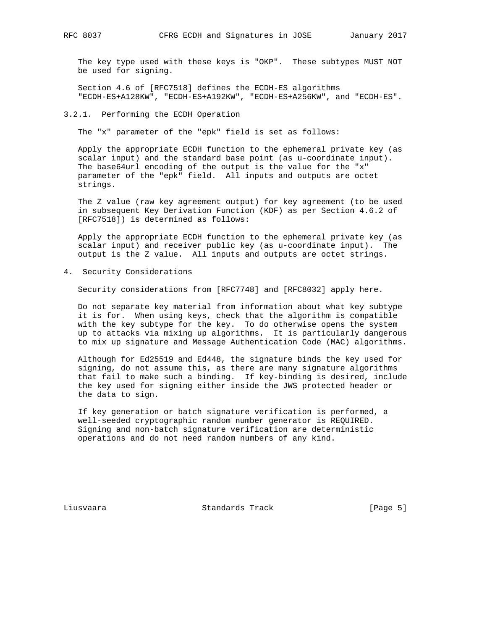The key type used with these keys is "OKP". These subtypes MUST NOT be used for signing.

 Section 4.6 of [RFC7518] defines the ECDH-ES algorithms "ECDH-ES+A128KW", "ECDH-ES+A192KW", "ECDH-ES+A256KW", and "ECDH-ES".

### 3.2.1. Performing the ECDH Operation

The "x" parameter of the "epk" field is set as follows:

 Apply the appropriate ECDH function to the ephemeral private key (as scalar input) and the standard base point (as u-coordinate input). The base64url encoding of the output is the value for the "x" parameter of the "epk" field. All inputs and outputs are octet strings.

 The Z value (raw key agreement output) for key agreement (to be used in subsequent Key Derivation Function (KDF) as per Section 4.6.2 of [RFC7518]) is determined as follows:

 Apply the appropriate ECDH function to the ephemeral private key (as scalar input) and receiver public key (as u-coordinate input). The output is the Z value. All inputs and outputs are octet strings.

4. Security Considerations

Security considerations from [RFC7748] and [RFC8032] apply here.

 Do not separate key material from information about what key subtype it is for. When using keys, check that the algorithm is compatible with the key subtype for the key. To do otherwise opens the system up to attacks via mixing up algorithms. It is particularly dangerous to mix up signature and Message Authentication Code (MAC) algorithms.

 Although for Ed25519 and Ed448, the signature binds the key used for signing, do not assume this, as there are many signature algorithms that fail to make such a binding. If key-binding is desired, include the key used for signing either inside the JWS protected header or the data to sign.

 If key generation or batch signature verification is performed, a well-seeded cryptographic random number generator is REQUIRED. Signing and non-batch signature verification are deterministic operations and do not need random numbers of any kind.

Liusvaara Standards Track [Page 5]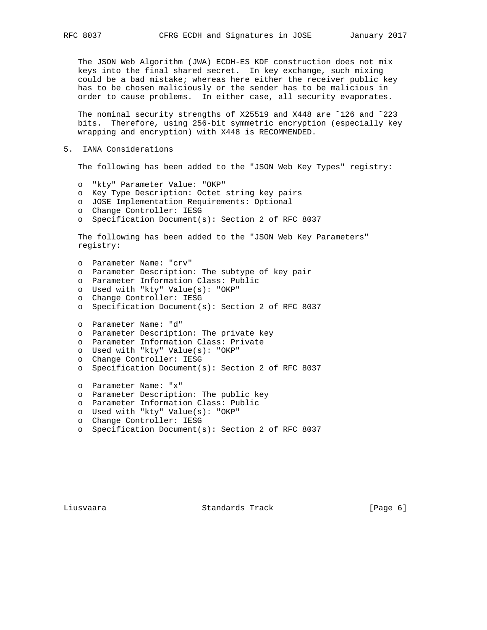The JSON Web Algorithm (JWA) ECDH-ES KDF construction does not mix keys into the final shared secret. In key exchange, such mixing could be a bad mistake; whereas here either the receiver public key has to be chosen maliciously or the sender has to be malicious in order to cause problems. In either case, all security evaporates.

 The nominal security strengths of X25519 and X448 are ˜126 and ˜223 bits. Therefore, using 256-bit symmetric encryption (especially key wrapping and encryption) with X448 is RECOMMENDED.

5. IANA Considerations

The following has been added to the "JSON Web Key Types" registry:

- o "kty" Parameter Value: "OKP"
- o Key Type Description: Octet string key pairs
- o JOSE Implementation Requirements: Optional
- o Change Controller: IESG
- o Specification Document(s): Section 2 of RFC 8037

 The following has been added to the "JSON Web Key Parameters" registry:

 o Parameter Name: "crv" o Parameter Description: The subtype of key pair o Parameter Information Class: Public o Used with "kty" Value(s): "OKP" o Change Controller: IESG o Specification Document(s): Section 2 of RFC 8037 o Parameter Name: "d" o Parameter Description: The private key o Parameter Information Class: Private o Used with "kty" Value(s): "OKP" o Change Controller: IESG o Specification Document(s): Section 2 of RFC 8037 o Parameter Name: "x" o Parameter Description: The public key o Parameter Information Class: Public o Used with "kty" Value(s): "OKP"

- o Change Controller: IESG
- o Specification Document(s): Section 2 of RFC 8037

Liusvaara Standards Track [Page 6]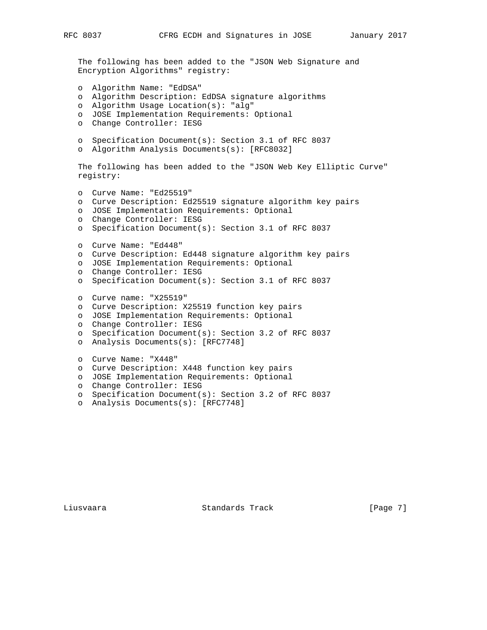```
 The following has been added to the "JSON Web Signature and
  Encryption Algorithms" registry:
  o Algorithm Name: "EdDSA"
  o Algorithm Description: EdDSA signature algorithms
  o Algorithm Usage Location(s): "alg"
  o JOSE Implementation Requirements: Optional
  o Change Controller: IESG
  o Specification Document(s): Section 3.1 of RFC 8037
  o Algorithm Analysis Documents(s): [RFC8032]
  The following has been added to the "JSON Web Key Elliptic Curve"
  registry:
  o Curve Name: "Ed25519"
  o Curve Description: Ed25519 signature algorithm key pairs
  o JOSE Implementation Requirements: Optional
  o Change Controller: IESG
  o Specification Document(s): Section 3.1 of RFC 8037
  o Curve Name: "Ed448"
  o Curve Description: Ed448 signature algorithm key pairs
  o JOSE Implementation Requirements: Optional
  o Change Controller: IESG
  o Specification Document(s): Section 3.1 of RFC 8037
  o Curve name: "X25519"
  o Curve Description: X25519 function key pairs
  o JOSE Implementation Requirements: Optional
  o Change Controller: IESG
  o Specification Document(s): Section 3.2 of RFC 8037
  o Analysis Documents(s): [RFC7748]
  o Curve Name: "X448"
  o Curve Description: X448 function key pairs
  o JOSE Implementation Requirements: Optional
o Change Controller: IESG
o Specification Document(s): Section 3.2 of RFC 8037
  o Analysis Documents(s): [RFC7748]
```
Liusvaara Standards Track [Page 7]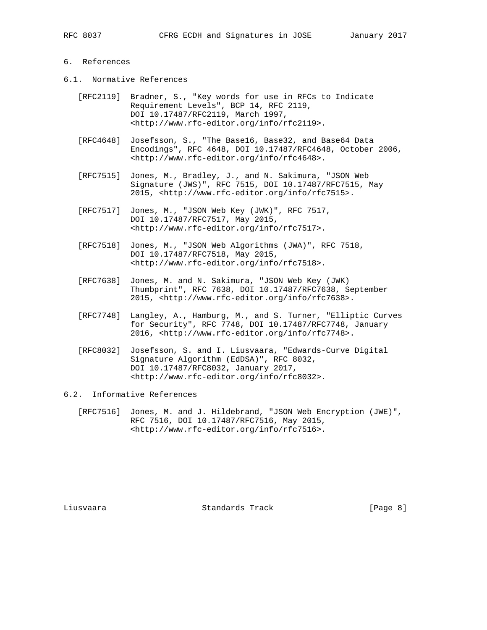## 6. References

- 6.1. Normative References
	- [RFC2119] Bradner, S., "Key words for use in RFCs to Indicate Requirement Levels", BCP 14, RFC 2119, DOI 10.17487/RFC2119, March 1997, <http://www.rfc-editor.org/info/rfc2119>.
	- [RFC4648] Josefsson, S., "The Base16, Base32, and Base64 Data Encodings", RFC 4648, DOI 10.17487/RFC4648, October 2006, <http://www.rfc-editor.org/info/rfc4648>.
	- [RFC7515] Jones, M., Bradley, J., and N. Sakimura, "JSON Web Signature (JWS)", RFC 7515, DOI 10.17487/RFC7515, May 2015, <http://www.rfc-editor.org/info/rfc7515>.
	- [RFC7517] Jones, M., "JSON Web Key (JWK)", RFC 7517, DOI 10.17487/RFC7517, May 2015, <http://www.rfc-editor.org/info/rfc7517>.
	- [RFC7518] Jones, M., "JSON Web Algorithms (JWA)", RFC 7518, DOI 10.17487/RFC7518, May 2015, <http://www.rfc-editor.org/info/rfc7518>.
- [RFC7638] Jones, M. and N. Sakimura, "JSON Web Key (JWK) Thumbprint", RFC 7638, DOI 10.17487/RFC7638, September 2015, <http://www.rfc-editor.org/info/rfc7638>.
	- [RFC7748] Langley, A., Hamburg, M., and S. Turner, "Elliptic Curves for Security", RFC 7748, DOI 10.17487/RFC7748, January 2016, <http://www.rfc-editor.org/info/rfc7748>.
	- [RFC8032] Josefsson, S. and I. Liusvaara, "Edwards-Curve Digital Signature Algorithm (EdDSA)", RFC 8032, DOI 10.17487/RFC8032, January 2017, <http://www.rfc-editor.org/info/rfc8032>.

### 6.2. Informative References

 [RFC7516] Jones, M. and J. Hildebrand, "JSON Web Encryption (JWE)", RFC 7516, DOI 10.17487/RFC7516, May 2015, <http://www.rfc-editor.org/info/rfc7516>.

Liusvaara Standards Track [Page 8]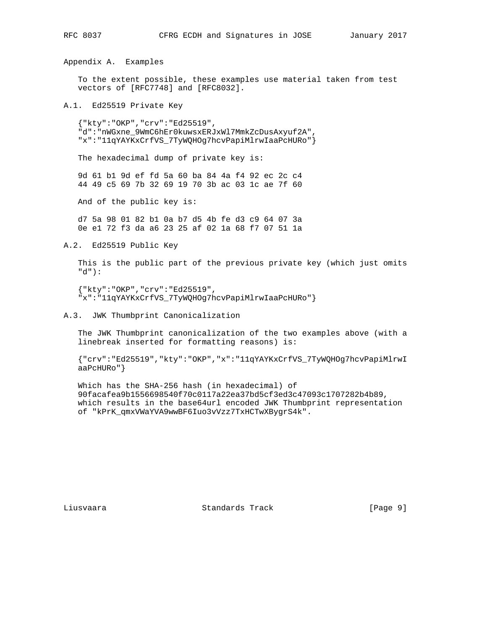Appendix A. Examples

 To the extent possible, these examples use material taken from test vectors of [RFC7748] and [RFC8032].

A.1. Ed25519 Private Key

 {"kty":"OKP","crv":"Ed25519", "d":"nWGxne\_9WmC6hEr0kuwsxERJxWl7MmkZcDusAxyuf2A", "x":"11qYAYKxCrfVS\_7TyWQHOg7hcvPapiMlrwIaaPcHURo"}

The hexadecimal dump of private key is:

 9d 61 b1 9d ef fd 5a 60 ba 84 4a f4 92 ec 2c c4 44 49 c5 69 7b 32 69 19 70 3b ac 03 1c ae 7f 60

And of the public key is:

 d7 5a 98 01 82 b1 0a b7 d5 4b fe d3 c9 64 07 3a 0e e1 72 f3 da a6 23 25 af 02 1a 68 f7 07 51 1a

A.2. Ed25519 Public Key

 This is the public part of the previous private key (which just omits "d"):

 {"kty":"OKP","crv":"Ed25519", "x":"11qYAYKxCrfVS\_7TyWQHOg7hcvPapiMlrwIaaPcHURo"}

A.3. JWK Thumbprint Canonicalization

 The JWK Thumbprint canonicalization of the two examples above (with a linebreak inserted for formatting reasons) is:

 {"crv":"Ed25519","kty":"OKP","x":"11qYAYKxCrfVS\_7TyWQHOg7hcvPapiMlrwI aaPcHURo"}

 Which has the SHA-256 hash (in hexadecimal) of 90facafea9b1556698540f70c0117a22ea37bd5cf3ed3c47093c1707282b4b89, which results in the base64url encoded JWK Thumbprint representation of "kPrK\_qmxVWaYVA9wwBF6Iuo3vVzz7TxHCTwXBygrS4k".

Liusvaara Standards Track [Page 9]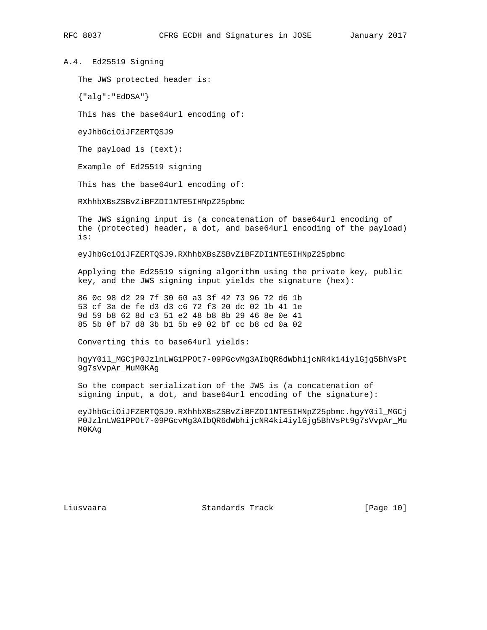A.4. Ed25519 Signing

The JWS protected header is:

{"alg":"EdDSA"}

This has the base64url encoding of:

eyJhbGciOiJFZERTQSJ9

The payload is (text):

Example of Ed25519 signing

This has the base64url encoding of:

RXhhbXBsZSBvZiBFZDI1NTE5IHNpZ25pbmc

 The JWS signing input is (a concatenation of base64url encoding of the (protected) header, a dot, and base64url encoding of the payload) is:

eyJhbGciOiJFZERTQSJ9.RXhhbXBsZSBvZiBFZDI1NTE5IHNpZ25pbmc

 Applying the Ed25519 signing algorithm using the private key, public key, and the JWS signing input yields the signature (hex):

 86 0c 98 d2 29 7f 30 60 a3 3f 42 73 96 72 d6 1b 53 cf 3a de fe d3 d3 c6 72 f3 20 dc 02 1b 41 1e 9d 59 b8 62 8d c3 51 e2 48 b8 8b 29 46 8e 0e 41 85 5b 0f b7 d8 3b b1 5b e9 02 bf cc b8 cd 0a 02

Converting this to base64url yields:

 hgyY0il\_MGCjP0JzlnLWG1PPOt7-09PGcvMg3AIbQR6dWbhijcNR4ki4iylGjg5BhVsPt 9g7sVvpAr\_MuM0KAg

 So the compact serialization of the JWS is (a concatenation of signing input, a dot, and base64url encoding of the signature):

 eyJhbGciOiJFZERTQSJ9.RXhhbXBsZSBvZiBFZDI1NTE5IHNpZ25pbmc.hgyY0il\_MGCj P0JzlnLWG1PPOt7-09PGcvMg3AIbQR6dWbhijcNR4ki4iylGjg5BhVsPt9g7sVvpAr\_Mu M0KAg

Liusvaara Standards Track [Page 10]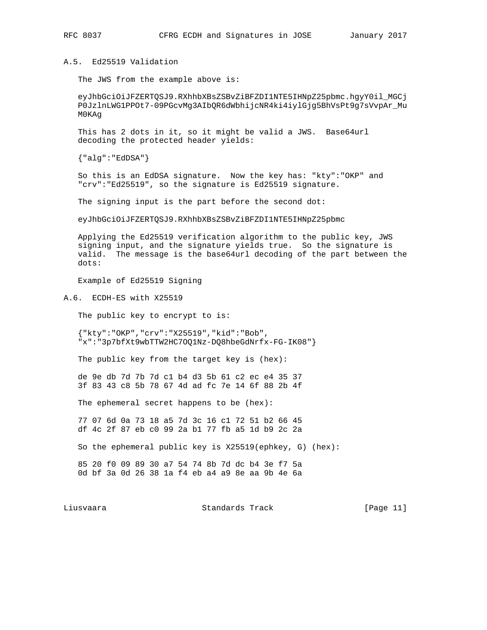## A.5. Ed25519 Validation

The JWS from the example above is:

 eyJhbGciOiJFZERTQSJ9.RXhhbXBsZSBvZiBFZDI1NTE5IHNpZ25pbmc.hgyY0il\_MGCj P0JzlnLWG1PPOt7-09PGcvMg3AIbQR6dWbhijcNR4ki4iylGjg5BhVsPt9g7sVvpAr\_Mu M0KAg

 This has 2 dots in it, so it might be valid a JWS. Base64url decoding the protected header yields:

{"alg":"EdDSA"}

 So this is an EdDSA signature. Now the key has: "kty":"OKP" and "crv":"Ed25519", so the signature is Ed25519 signature.

The signing input is the part before the second dot:

eyJhbGciOiJFZERTQSJ9.RXhhbXBsZSBvZiBFZDI1NTE5IHNpZ25pbmc

 Applying the Ed25519 verification algorithm to the public key, JWS signing input, and the signature yields true. So the signature is valid. The message is the base64url decoding of the part between the dots:

Example of Ed25519 Signing

A.6. ECDH-ES with X25519

The public key to encrypt to is:

 {"kty":"OKP","crv":"X25519","kid":"Bob", "x":"3p7bfXt9wbTTW2HC7OQ1Nz-DQ8hbeGdNrfx-FG-IK08"}

The public key from the target key is (hex):

 de 9e db 7d 7b 7d c1 b4 d3 5b 61 c2 ec e4 35 37 3f 83 43 c8 5b 78 67 4d ad fc 7e 14 6f 88 2b 4f

The ephemeral secret happens to be (hex):

 77 07 6d 0a 73 18 a5 7d 3c 16 c1 72 51 b2 66 45 df 4c 2f 87 eb c0 99 2a b1 77 fb a5 1d b9 2c 2a

So the ephemeral public key is X25519(ephkey, G) (hex):

 85 20 f0 09 89 30 a7 54 74 8b 7d dc b4 3e f7 5a 0d bf 3a 0d 26 38 1a f4 eb a4 a9 8e aa 9b 4e 6a

Liusvaara Standards Track [Page 11]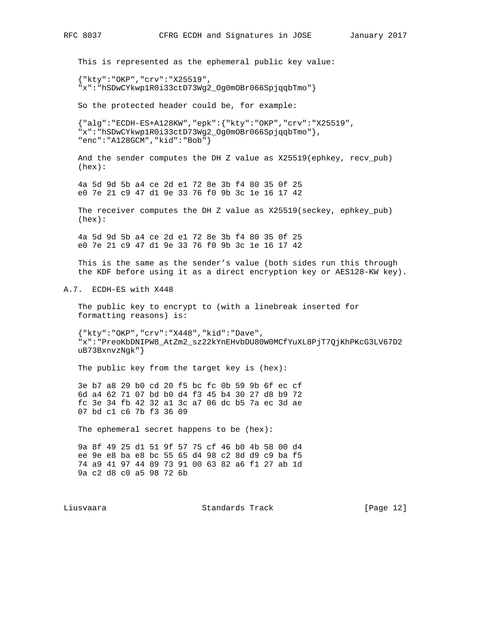This is represented as the ephemeral public key value:

 {"kty":"OKP","crv":"X25519", "x":"hSDwCYkwp1R0i33ctD73Wg2\_Og0mOBr066SpjqqbTmo"}

So the protected header could be, for example:

 {"alg":"ECDH-ES+A128KW","epk":{"kty":"OKP","crv":"X25519", "x":"hSDwCYkwp1R0i33ctD73Wg2\_Og0mOBr066SpjqqbTmo"}, "enc":"A128GCM","kid":"Bob"}

 And the sender computes the DH Z value as X25519(ephkey, recv\_pub) (hex):

 4a 5d 9d 5b a4 ce 2d e1 72 8e 3b f4 80 35 0f 25 e0 7e 21 c9 47 d1 9e 33 76 f0 9b 3c 1e 16 17 42

 The receiver computes the DH Z value as X25519(seckey, ephkey\_pub) (hex):

 4a 5d 9d 5b a4 ce 2d e1 72 8e 3b f4 80 35 0f 25 e0 7e 21 c9 47 d1 9e 33 76 f0 9b 3c 1e 16 17 42

 This is the same as the sender's value (both sides run this through the KDF before using it as a direct encryption key or AES128-KW key).

A.7. ECDH-ES with X448

 The public key to encrypt to (with a linebreak inserted for formatting reasons) is:

 {"kty":"OKP","crv":"X448","kid":"Dave", "x":"PreoKbDNIPW8\_AtZm2\_sz22kYnEHvbDU80W0MCfYuXL8PjT7QjKhPKcG3LV67D2 uB73BxnvzNgk"}

The public key from the target key is (hex):

 3e b7 a8 29 b0 cd 20 f5 bc fc 0b 59 9b 6f ec cf 6d a4 62 71 07 bd b0 d4 f3 45 b4 30 27 d8 b9 72 fc 3e 34 fb 42 32 a1 3c a7 06 dc b5 7a ec 3d ae 07 bd c1 c6 7b f3 36 09

The ephemeral secret happens to be (hex):

 9a 8f 49 25 d1 51 9f 57 75 cf 46 b0 4b 58 00 d4 ee 9e e8 ba e8 bc 55 65 d4 98 c2 8d d9 c9 ba f5 74 a9 41 97 44 89 73 91 00 63 82 a6 f1 27 ab 1d 9a c2 d8 c0 a5 98 72 6b

Liusvaara Standards Track [Page 12]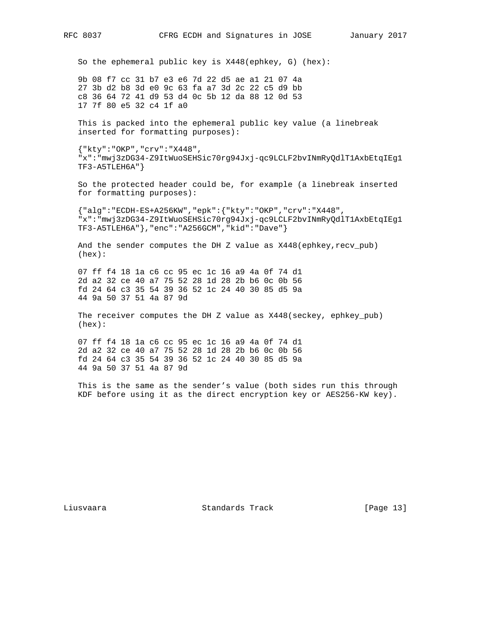So the ephemeral public key is X448(ephkey, G) (hex):

 9b 08 f7 cc 31 b7 e3 e6 7d 22 d5 ae a1 21 07 4a 27 3b d2 b8 3d e0 9c 63 fa a7 3d 2c 22 c5 d9 bb c8 36 64 72 41 d9 53 d4 0c 5b 12 da 88 12 0d 53 17 7f 80 e5 32 c4 1f a0

 This is packed into the ephemeral public key value (a linebreak inserted for formatting purposes):

 {"kty":"OKP","crv":"X448", "x":"mwj3zDG34-Z9ItWuoSEHSic70rg94Jxj-qc9LCLF2bvINmRyQdlT1AxbEtqIEg1 TF3-A5TLEH6A"}

 So the protected header could be, for example (a linebreak inserted for formatting purposes):

 {"alg":"ECDH-ES+A256KW","epk":{"kty":"OKP","crv":"X448", "x":"mwj3zDG34-Z9ItWuoSEHSic70rg94Jxj-qc9LCLF2bvINmRyQdlT1AxbEtqIEg1 TF3-A5TLEH6A"},"enc":"A256GCM","kid":"Dave"}

And the sender computes the DH Z value as X448(ephkey, recv\_pub) (hex):

 07 ff f4 18 1a c6 cc 95 ec 1c 16 a9 4a 0f 74 d1 2d a2 32 ce 40 a7 75 52 28 1d 28 2b b6 0c 0b 56 fd 24 64 c3 35 54 39 36 52 1c 24 40 30 85 d5 9a 44 9a 50 37 51 4a 87 9d

 The receiver computes the DH Z value as X448(seckey, ephkey\_pub) (hex):

 07 ff f4 18 1a c6 cc 95 ec 1c 16 a9 4a 0f 74 d1 2d a2 32 ce 40 a7 75 52 28 1d 28 2b b6 0c 0b 56 fd 24 64 c3 35 54 39 36 52 1c 24 40 30 85 d5 9a 44 9a 50 37 51 4a 87 9d

 This is the same as the sender's value (both sides run this through KDF before using it as the direct encryption key or AES256-KW key).

Liusvaara Standards Track [Page 13]